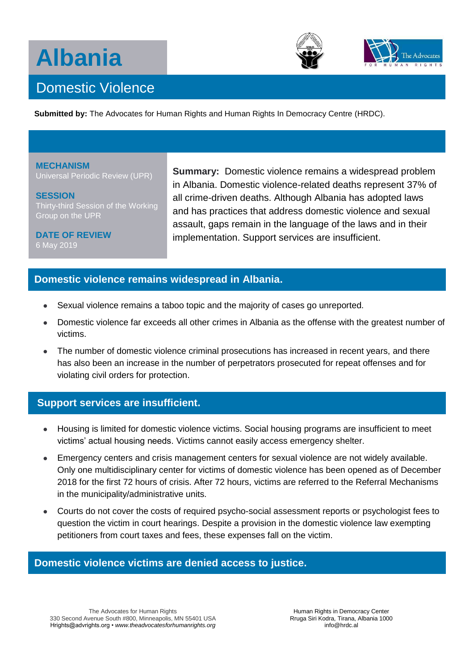# **Albania**



## Domestic Violence

**Submitted by:** The Advocates for Human Rights and Human Rights In Democracy Centre (HRDC).

**MECHANISM** Universal Periodic Review (UPR)

**SESSION** Thirty-third Session of the Working Group on the UPR

**DATE OF REVIEW** 6 May 2019

**Summary:** Domestic violence remains a widespread problem in Albania. Domestic violence-related deaths represent 37% of all crime-driven deaths. Although Albania has adopted laws and has practices that address domestic violence and sexual assault, gaps remain in the language of the laws and in their implementation. Support services are insufficient.

### **Domestic violence remains widespread in Albania.**

- Sexual violence remains a taboo topic and the majority of cases go unreported.
- Domestic violence far exceeds all other crimes in Albania as the offense with the greatest number of victims.
- The number of domestic violence criminal prosecutions has increased in recent years, and there has also been an increase in the number of perpetrators prosecuted for repeat offenses and for violating civil orders for protection.

### **Support services are insufficient.**

- Housing is limited for domestic violence victims. Social housing programs are insufficient to meet victims' actual housing needs. Victims cannot easily access emergency shelter.
- Emergency centers and crisis management centers for sexual violence are not widely available. Only one multidisciplinary center for victims of domestic violence has been opened as of December 2018 for the first 72 hours of crisis. After 72 hours, victims are referred to the Referral Mechanisms in the municipality/administrative units.
- Courts do not cover the costs of required psycho-social assessment reports or psychologist fees to question the victim in court hearings. Despite a provision in the domestic violence law exempting petitioners from court taxes and fees, these expenses fall on the victim.

#### **Domestic violence victims are denied access to justice.**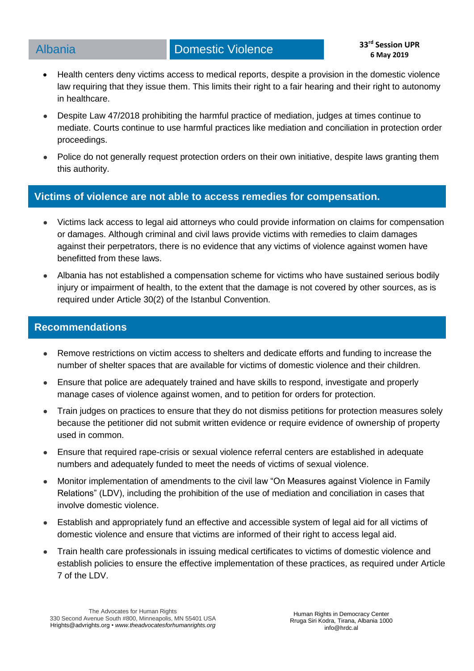- Health centers deny victims access to medical reports, despite a provision in the domestic violence law requiring that they issue them. This limits their right to a fair hearing and their right to autonomy in healthcare.
- Despite Law 47/2018 prohibiting the harmful practice of mediation, judges at times continue to mediate. Courts continue to use harmful practices like mediation and conciliation in protection order proceedings.
- Police do not generally request protection orders on their own initiative, despite laws granting them this authority.

#### **Victims of violence are not able to access remedies for compensation.**

- Victims lack access to legal aid attorneys who could provide information on claims for compensation or damages. Although criminal and civil laws provide victims with remedies to claim damages against their perpetrators, there is no evidence that any victims of violence against women have benefitted from these laws.
- Albania has not established a compensation scheme for victims who have sustained serious bodily injury or impairment of health, to the extent that the damage is not covered by other sources, as is required under Article 30(2) of the Istanbul Convention.

#### **Recommendations**

- Remove restrictions on victim access to shelters and dedicate efforts and funding to increase the number of shelter spaces that are available for victims of domestic violence and their children.
- Ensure that police are adequately trained and have skills to respond, investigate and properly manage cases of violence against women, and to petition for orders for protection.
- Train judges on practices to ensure that they do not dismiss petitions for protection measures solely because the petitioner did not submit written evidence or require evidence of ownership of property used in common.
- Ensure that required rape-crisis or sexual violence referral centers are established in adequate numbers and adequately funded to meet the needs of victims of sexual violence.
- Monitor implementation of amendments to the civil law "On Measures against Violence in Family Relations" (LDV), including the prohibition of the use of mediation and conciliation in cases that involve domestic violence.
- Establish and appropriately fund an effective and accessible system of legal aid for all victims of domestic violence and ensure that victims are informed of their right to access legal aid.
- Train health care professionals in issuing medical certificates to victims of domestic violence and establish policies to ensure the effective implementation of these practices, as required under Article 7 of the LDV.